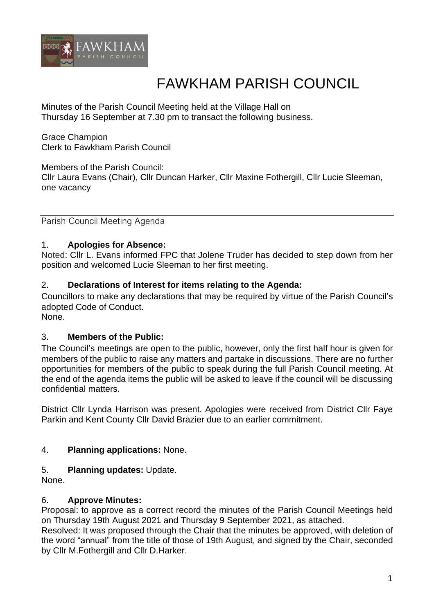

# FAWKHAM PARISH COUNCIL

Minutes of the Parish Council Meeting held at the Village Hall on Thursday 16 September at 7.30 pm to transact the following business.

Grace Champion Clerk to Fawkham Parish Council

Members of the Parish Council: Cllr Laura Evans (Chair), Cllr Duncan Harker, Cllr Maxine Fothergill, Cllr Lucie Sleeman, one vacancy

Parish Council Meeting Agenda

# 1. **Apologies for Absence:**

Noted: Cllr L. Evans informed FPC that Jolene Truder has decided to step down from her position and welcomed Lucie Sleeman to her first meeting.

### 2. **Declarations of Interest for items relating to the Agenda:**

Councillors to make any declarations that may be required by virtue of the Parish Council's adopted Code of Conduct.

None.

#### 3. **Members of the Public:**

The Council's meetings are open to the public, however, only the first half hour is given for members of the public to raise any matters and partake in discussions. There are no further opportunities for members of the public to speak during the full Parish Council meeting. At the end of the agenda items the public will be asked to leave if the council will be discussing confidential matters.

District Cllr Lynda Harrison was present. Apologies were received from District Cllr Faye Parkin and Kent County Cllr David Brazier due to an earlier commitment.

# 4. **Planning applications:** None.

#### 5. **Planning updates:** Update.

None.

#### 6. **Approve Minutes:**

Proposal: to approve as a correct record the minutes of the Parish Council Meetings held on Thursday 19th August 2021 and Thursday 9 September 2021, as attached.

Resolved: It was proposed through the Chair that the minutes be approved, with deletion of the word "annual" from the title of those of 19th August, and signed by the Chair, seconded by Cllr M.Fothergill and Cllr D.Harker.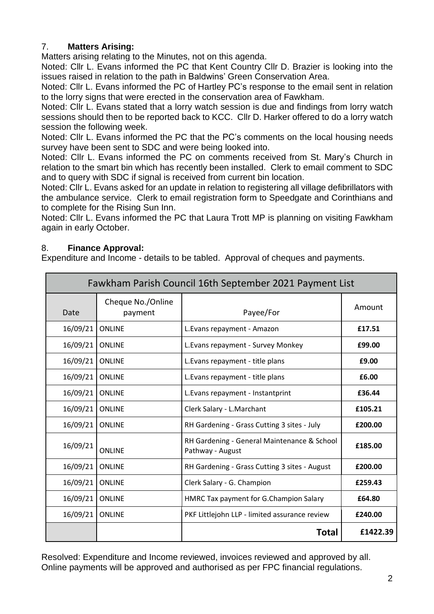# 7. **Matters Arising:**

Matters arising relating to the Minutes, not on this agenda.

Noted: Cllr L. Evans informed the PC that Kent Country Cllr D. Brazier is looking into the issues raised in relation to the path in Baldwins' Green Conservation Area.

Noted: Cllr L. Evans informed the PC of Hartley PC's response to the email sent in relation to the lorry signs that were erected in the conservation area of Fawkham.

Noted: Cllr L. Evans stated that a lorry watch session is due and findings from lorry watch sessions should then to be reported back to KCC. Cllr D. Harker offered to do a lorry watch session the following week.

Noted: Cllr L. Evans informed the PC that the PC's comments on the local housing needs survey have been sent to SDC and were being looked into.

Noted: Cllr L. Evans informed the PC on comments received from St. Mary's Church in relation to the smart bin which has recently been installed. Clerk to email comment to SDC and to query with SDC if signal is received from current bin location.

Noted: Cllr L. Evans asked for an update in relation to registering all village defibrillators with the ambulance service. Clerk to email registration form to Speedgate and Corinthians and to complete for the Rising Sun Inn.

Noted: Cllr L. Evans informed the PC that Laura Trott MP is planning on visiting Fawkham again in early October.

### 8. **Finance Approval:**

Expenditure and Income - details to be tabled. Approval of cheques and payments.

| Fawkham Parish Council 16th September 2021 Payment List |                              |                                                                 |          |
|---------------------------------------------------------|------------------------------|-----------------------------------------------------------------|----------|
| Date                                                    | Cheque No./Online<br>payment | Payee/For                                                       | Amount   |
| 16/09/21                                                | <b>ONLINE</b>                | L. Evans repayment - Amazon                                     | £17.51   |
| 16/09/21                                                | <b>ONLINE</b>                | L. Evans repayment - Survey Monkey                              | £99.00   |
| 16/09/21                                                | <b>ONLINE</b>                | L. Evans repayment - title plans                                | £9.00    |
| 16/09/21                                                | <b>ONLINE</b>                | L. Evans repayment - title plans                                | £6.00    |
| 16/09/21                                                | <b>ONLINE</b>                | L. Evans repayment - Instantprint                               | £36.44   |
| 16/09/21                                                | <b>ONLINE</b>                | Clerk Salary - L.Marchant                                       | £105.21  |
| 16/09/21                                                | <b>ONLINE</b>                | RH Gardening - Grass Cutting 3 sites - July                     | £200.00  |
| 16/09/21                                                | <b>ONLINE</b>                | RH Gardening - General Maintenance & School<br>Pathway - August | £185.00  |
| 16/09/21                                                | <b>ONLINE</b>                | RH Gardening - Grass Cutting 3 sites - August                   | £200.00  |
| 16/09/21                                                | <b>ONLINE</b>                | Clerk Salary - G. Champion                                      | £259.43  |
| 16/09/21                                                | <b>ONLINE</b>                | HMRC Tax payment for G.Champion Salary                          | £64.80   |
| 16/09/21                                                | <b>ONLINE</b>                | PKF Littlejohn LLP - limited assurance review                   | £240.00  |
|                                                         |                              | <b>Total</b>                                                    | £1422.39 |

Resolved: Expenditure and Income reviewed, invoices reviewed and approved by all. Online payments will be approved and authorised as per FPC financial regulations.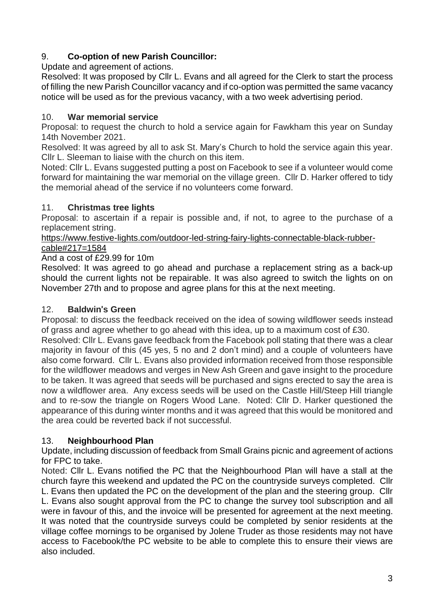# 9. **Co-option of new Parish Councillor:**

Update and agreement of actions.

Resolved: It was proposed by Cllr L. Evans and all agreed for the Clerk to start the process of filling the new Parish Councillor vacancy and if co-option was permitted the same vacancy notice will be used as for the previous vacancy, with a two week advertising period.

# 10. **War memorial service**

Proposal: to request the church to hold a service again for Fawkham this year on Sunday 14th November 2021.

Resolved: It was agreed by all to ask St. Mary's Church to hold the service again this year. Cllr L. Sleeman to liaise with the church on this item.

Noted: Cllr L. Evans suggested putting a post on Facebook to see if a volunteer would come forward for maintaining the war memorial on the village green. Cllr D. Harker offered to tidy the memorial ahead of the service if no volunteers come forward.

# 11. **Christmas tree lights**

Proposal: to ascertain if a repair is possible and, if not, to agree to the purchase of a replacement string.

#### https://www.festive-lights.com/outdoor-led-string-fairy-lights-connectable-black-rubbercable#217=1584

And a cost of £29.99 for 10m

Resolved: It was agreed to go ahead and purchase a replacement string as a back-up should the current lights not be repairable. It was also agreed to switch the lights on on November 27th and to propose and agree plans for this at the next meeting.

# 12. **Baldwin**'**s Green**

Proposal: to discuss the feedback received on the idea of sowing wildflower seeds instead of grass and agree whether to go ahead with this idea, up to a maximum cost of £30.

Resolved: Cllr L. Evans gave feedback from the Facebook poll stating that there was a clear majority in favour of this (45 yes, 5 no and 2 don't mind) and a couple of volunteers have also come forward. Cllr L. Evans also provided information received from those responsible for the wildflower meadows and verges in New Ash Green and gave insight to the procedure to be taken. It was agreed that seeds will be purchased and signs erected to say the area is now a wildflower area. Any excess seeds will be used on the Castle Hill/Steep Hill triangle and to re-sow the triangle on Rogers Wood Lane. Noted: Cllr D. Harker questioned the appearance of this during winter months and it was agreed that this would be monitored and the area could be reverted back if not successful.

# 13. **Neighbourhood Plan**

Update, including discussion of feedback from Small Grains picnic and agreement of actions for FPC to take.

Noted: Cllr L. Evans notified the PC that the Neighbourhood Plan will have a stall at the church fayre this weekend and updated the PC on the countryside surveys completed. Cllr L. Evans then updated the PC on the development of the plan and the steering group. Cllr L. Evans also sought approval from the PC to change the survey tool subscription and all were in favour of this, and the invoice will be presented for agreement at the next meeting. It was noted that the countryside surveys could be completed by senior residents at the village coffee mornings to be organised by Jolene Truder as those residents may not have access to Facebook/the PC website to be able to complete this to ensure their views are also included.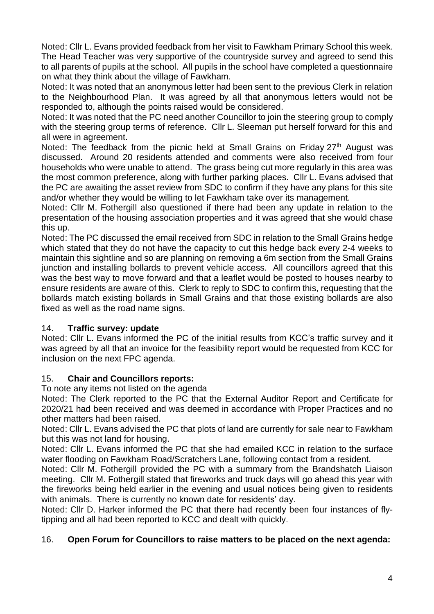Noted: Cllr L. Evans provided feedback from her visit to Fawkham Primary School this week. The Head Teacher was very supportive of the countryside survey and agreed to send this to all parents of pupils at the school. All pupils in the school have completed a questionnaire on what they think about the village of Fawkham.

Noted: It was noted that an anonymous letter had been sent to the previous Clerk in relation to the Neighbourhood Plan. It was agreed by all that anonymous letters would not be responded to, although the points raised would be considered.

Noted: It was noted that the PC need another Councillor to join the steering group to comply with the steering group terms of reference. Cllr L. Sleeman put herself forward for this and all were in agreement.

Noted: The feedback from the picnic held at Small Grains on Friday  $27<sup>th</sup>$  August was discussed. Around 20 residents attended and comments were also received from four households who were unable to attend. The grass being cut more regularly in this area was the most common preference, along with further parking places. Cllr L. Evans advised that the PC are awaiting the asset review from SDC to confirm if they have any plans for this site and/or whether they would be willing to let Fawkham take over its management.

Noted: Cllr M. Fothergill also questioned if there had been any update in relation to the presentation of the housing association properties and it was agreed that she would chase this up.

Noted: The PC discussed the email received from SDC in relation to the Small Grains hedge which stated that they do not have the capacity to cut this hedge back every 2-4 weeks to maintain this sightline and so are planning on removing a 6m section from the Small Grains junction and installing bollards to prevent vehicle access. All councillors agreed that this was the best way to move forward and that a leaflet would be posted to houses nearby to ensure residents are aware of this. Clerk to reply to SDC to confirm this, requesting that the bollards match existing bollards in Small Grains and that those existing bollards are also fixed as well as the road name signs.

# 14. **Traffic survey: update**

Noted: Cllr L. Evans informed the PC of the initial results from KCC's traffic survey and it was agreed by all that an invoice for the feasibility report would be requested from KCC for inclusion on the next FPC agenda.

# 15. **Chair and Councillors reports:**

To note any items not listed on the agenda

Noted: The Clerk reported to the PC that the External Auditor Report and Certificate for 2020/21 had been received and was deemed in accordance with Proper Practices and no other matters had been raised.

Noted: Cllr L. Evans advised the PC that plots of land are currently for sale near to Fawkham but this was not land for housing.

Noted: Cllr L. Evans informed the PC that she had emailed KCC in relation to the surface water flooding on Fawkham Road/Scratchers Lane, following contact from a resident.

Noted: Cllr M. Fothergill provided the PC with a summary from the Brandshatch Liaison meeting. Cllr M. Fothergill stated that fireworks and truck days will go ahead this year with the fireworks being held earlier in the evening and usual notices being given to residents with animals. There is currently no known date for residents' day.

Noted: Cllr D. Harker informed the PC that there had recently been four instances of flytipping and all had been reported to KCC and dealt with quickly.

# 16. **Open Forum for Councillors to raise matters to be placed on the next agenda:**